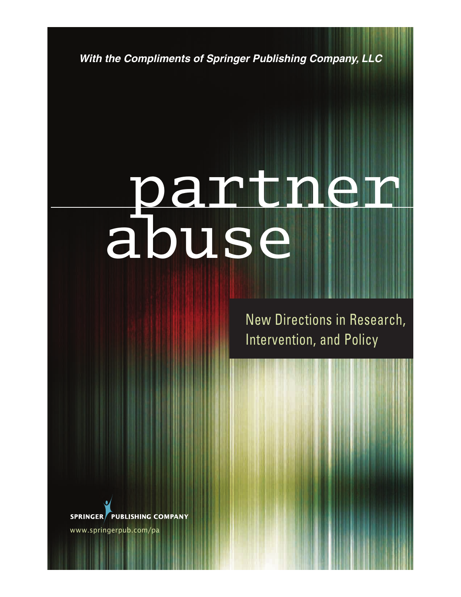*With the Compliments of Springer Publishing Company, LLC*

# partner abuse

## New Directions in Research, Intervention, and Policy



www.springerpub.com/pa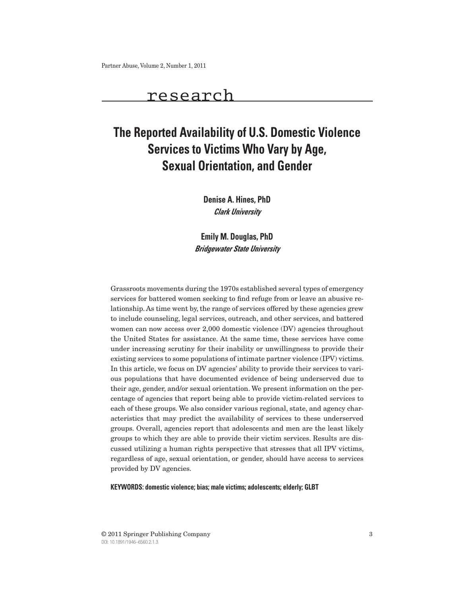Partner Abuse, Volume 2, Number 1, 2011

### research

## **The Reported Availability of U.S. Domestic Violence Services to Victims Who Vary by Age, Sexual Orientation, and Gender**

**Denise A. Hines, PhD** *Clark University*

**Emily M. Douglas, PhD** *Bridgewater State University*

Grassroots movements during the 1970s established several types of emergency services for battered women seeking to find refuge from or leave an abusive relationship. As time went by, the range of services offered by these agencies grew to include counseling, legal services, outreach, and other services, and battered women can now access over 2,000 domestic violence (DV) agencies throughout the United States for assistance. At the same time, these services have come under increasing scrutiny for their inability or unwillingness to provide their existing services to some populations of intimate partner violence (IPV) victims. In this article, we focus on DV agencies' ability to provide their services to various populations that have documented evidence of being underserved due to their age, gender, and/or sexual orientation. We present information on the percentage of agencies that report being able to provide victim-related services to each of these groups. We also consider various regional, state, and agency characteristics that may predict the availability of services to these underserved groups. Overall, agencies report that adolescents and men are the least likely groups to which they are able to provide their victim services. Results are discussed utilizing a human rights perspective that stresses that all IPV victims, regardless of age, sexual orientation, or gender, should have access to services provided by DV agencies.

**KEYWORDS: domestic violence; bias; male victims; adolescents; elderly; GLBT**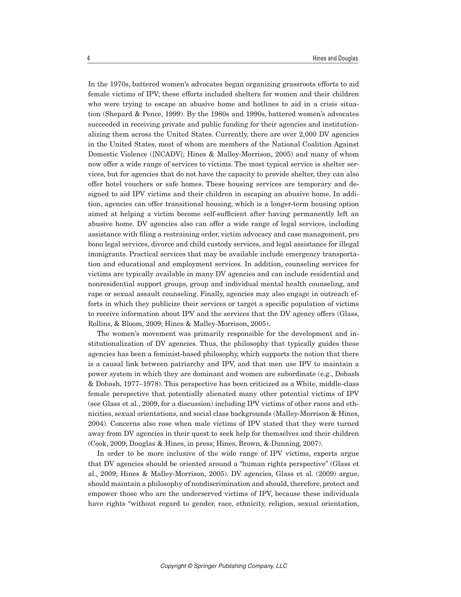In the 1970s, battered women's advocates began organizing grassroots efforts to aid female victims of IPV; these efforts included shelters for women and their children who were trying to escape an abusive home and hotlines to aid in a crisis situation (Shepard & Pence, 1999). By the 1980s and 1990s, battered women's advocates succeeded in receiving private and public funding for their agencies and institutionalizing them across the United States. Currently, there are over 2,000 DV agencies in the United States, most of whom are members of the National Coalition Against Domestic Violence ([NCADV]; Hines & Malley-Morrison, 2005) and many of whom now offer a wide range of services to victims. The most typical service is shelter services, but for agencies that do not have the capacity to provide shelter, they can also offer hotel vouchers or safe homes. These housing services are temporary and designed to aid IPV victims and their children in escaping an abusive home. In addition, agencies can offer transitional housing, which is a longer-term housing option aimed at helping a victim become self-sufficient after having permanently left an abusive home. DV agencies also can offer a wide range of legal services, including assistance with filing a restraining order, victim advocacy and case management, pro bono legal services, divorce and child custody services, and legal assistance for illegal immigrants. Practical services that may be available include emergency transportation and educational and employment services. In addition, counseling services for victims are typically available in many DV agencies and can include residential and nonresidential support groups, group and individual mental health counseling, and rape or sexual assault counseling. Finally, agencies may also engage in outreach efforts in which they publicize their services or target a specific population of victims to receive information about IPV and the services that the DV agency offers (Glass, Rollins, & Bloom, 2009; Hines & Malley-Morrison, 2005).

The women's movement was primarily responsible for the development and institutionalization of DV agencies. Thus, the philosophy that typically guides these agencies has been a feminist-based philosophy, which supports the notion that there is a causal link between patriarchy and IPV, and that men use IPV to maintain a power system in which they are dominant and women are subordinate (e.g., Dobash & Dobash, 1977–1978). This perspective has been criticized as a White, middle-class female perspective that potentially alienated many other potential victims of IPV (see Glass et al., 2009, for a discussion) including IPV victims of other races and ethnicities, sexual orientations, and social class backgrounds (Malley-Morrison & Hines, 2004). Concerns also rose when male victims of IPV stated that they were turned away from DV agencies in their quest to seek help for themselves and their children (Cook, 2009; Douglas & Hines, in press; Hines, Brown, & Dunning, 2007).

In order to be more inclusive of the wide range of IPV victims, experts argue that DV agencies should be oriented around a "human rights perspective" (Glass et al., 2009; Hines & Malley-Morrison, 2005). DV agencies, Glass et al. (2009) argue, should maintain a philosophy of nondiscrimination and should, therefore, protect and empower those who are the underserved victims of IPV, because these individuals have rights "without regard to gender, race, ethnicity, religion, sexual orientation,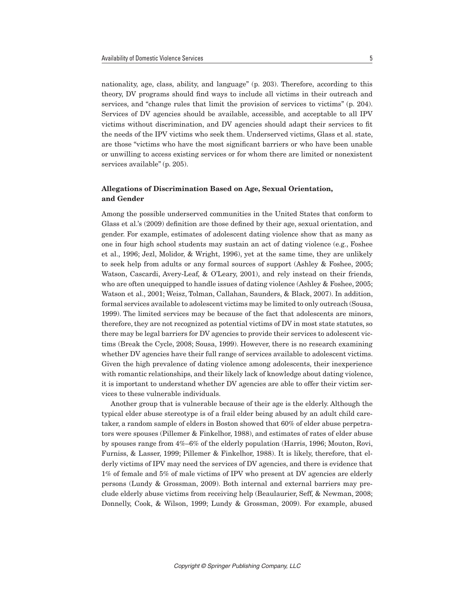nationality, age, class, ability, and language" (p. 203). Therefore, according to this theory, DV programs should find ways to include all victims in their outreach and services, and "change rules that limit the provision of services to victims" (p. 204). Services of DV agencies should be available, accessible, and acceptable to all IPV victims without discrimination, and DV agencies should adapt their services to fit the needs of the IPV victims who seek them. Underserved victims, Glass et al. state, are those "victims who have the most significant barriers or who have been unable or unwilling to access existing services or for whom there are limited or nonexistent services available" (p. 205).

#### **Allegations of Discrimination Based on Age, Sexual Orientation, and Gender**

Among the possible underserved communities in the United States that conform to Glass et al.'s (2009) definition are those defined by their age, sexual orientation, and gender. For example, estimates of adolescent dating violence show that as many as one in four high school students may sustain an act of dating violence (e.g., Foshee et al., 1996; Jezl, Molidor, & Wright, 1996), yet at the same time, they are unlikely to seek help from adults or any formal sources of support (Ashley & Foshee, 2005; Watson, Cascardi, Avery-Leaf, & O'Leary, 2001), and rely instead on their friends, who are often unequipped to handle issues of dating violence (Ashley & Foshee, 2005; Watson et al., 2001; Weisz, Tolman, Callahan, Saunders, & Black, 2007). In addition, formal services available to adolescent victims may be limited to only outreach (Sousa, 1999). The limited services may be because of the fact that adolescents are minors, therefore, they are not recognized as potential victims of DV in most state statutes, so there may be legal barriers for DV agencies to provide their services to adolescent victims (Break the Cycle, 2008; Sousa, 1999). However, there is no research examining whether DV agencies have their full range of services available to adolescent victims. Given the high prevalence of dating violence among adolescents, their inexperience with romantic relationships, and their likely lack of knowledge about dating violence, it is important to understand whether DV agencies are able to offer their victim services to these vulnerable individuals.

Another group that is vulnerable because of their age is the elderly. Although the typical elder abuse stereotype is of a frail elder being abused by an adult child caretaker, a random sample of elders in Boston showed that 60% of elder abuse perpetrators were spouses (Pillemer & Finkelhor, 1988), and estimates of rates of elder abuse by spouses range from 4%–6% of the elderly population (Harris, 1996; Mouton, Rovi, Furniss, & Lasser, 1999; Pillemer & Finkelhor, 1988). It is likely, therefore, that elderly victims of IPV may need the services of DV agencies, and there is evidence that 1% of female and 5% of male victims of IPV who present at DV agencies are elderly persons (Lundy & Grossman, 2009). Both internal and external barriers may preclude elderly abuse victims from receiving help (Beaulaurier, Seff, & Newman, 2008; Donnelly, Cook, & Wilson, 1999; Lundy & Grossman, 2009). For example, abused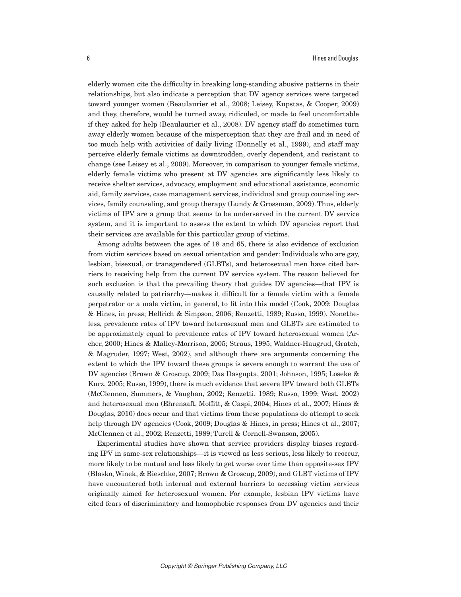elderly women cite the difficulty in breaking long-standing abusive patterns in their relationships, but also indicate a perception that DV agency services were targeted toward younger women (Beaulaurier et al., 2008; Leisey, Kupstas, & Cooper, 2009) and they, therefore, would be turned away, ridiculed, or made to feel uncomfortable if they asked for help (Beaulaurier et al., 2008). DV agency staff do sometimes turn away elderly women because of the misperception that they are frail and in need of too much help with activities of daily living (Donnelly et al., 1999), and staff may perceive elderly female victims as downtrodden, overly dependent, and resistant to change (see Leisey et al., 2009). Moreover, in comparison to younger female victims, elderly female victims who present at DV agencies are significantly less likely to receive shelter services, advocacy, employment and educational assistance, economic aid, family services, case management services, individual and group counseling services, family counseling, and group therapy (Lundy & Grossman, 2009). Thus, elderly victims of IPV are a group that seems to be underserved in the current DV service system, and it is important to assess the extent to which DV agencies report that their services are available for this particular group of victims.

Among adults between the ages of 18 and 65, there is also evidence of exclusion from victim services based on sexual orientation and gender: Individuals who are gay, lesbian, bisexual, or transgendered (GLBTs), and heterosexual men have cited barriers to receiving help from the current DV service system. The reason believed for such exclusion is that the prevailing theory that guides DV agencies—that IPV is causally related to patriarchy—makes it difficult for a female victim with a female perpetrator or a male victim, in general, to fit into this model (Cook, 2009; Douglas & Hines, in press; Helfrich & Simpson, 2006; Renzetti, 1989; Russo, 1999). Nonetheless, prevalence rates of IPV toward heterosexual men and GLBTs are estimated to be approximately equal to prevalence rates of IPV toward heterosexual women (Archer, 2000; Hines & Malley-Morrison, 2005; Straus, 1995; Waldner-Haugrud, Gratch, & Magruder, 1997; West, 2002), and although there are arguments concerning the extent to which the IPV toward these groups is severe enough to warrant the use of DV agencies (Brown & Groscup, 2009; Das Dasgupta, 2001; Johnson, 1995; Loseke & Kurz, 2005; Russo, 1999), there is much evidence that severe IPV toward both GLBTs (McClennen, Summers, & Vaughan, 2002; Renzetti, 1989; Russo, 1999; West, 2002) and heterosexual men (Ehrensaft, Moffitt, & Caspi, 2004; Hines et al., 2007; Hines & Douglas, 2010) does occur and that victims from these populations do attempt to seek help through DV agencies (Cook, 2009; Douglas & Hines, in press; Hines et al., 2007; McClennen et al., 2002; Renzetti, 1989; Turell & Cornell-Swanson, 2005).

Experimental studies have shown that service providers display biases regarding IPV in same-sex relationships—it is viewed as less serious, less likely to reoccur, more likely to be mutual and less likely to get worse over time than opposite-sex IPV (Blasko, Winek, & Bieschke, 2007; Brown & Groscup, 2009), and GLBT victims of IPV have encountered both internal and external barriers to accessing victim services originally aimed for heterosexual women. For example, lesbian IPV victims have cited fears of discriminatory and homophobic responses from DV agencies and their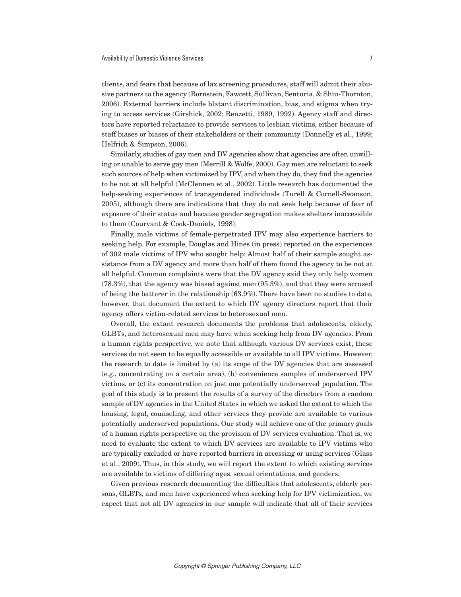clients, and fears that because of lax screening procedures, staff will admit their abusive partners to the agency (Bornstein, Fawcett, Sullivan, Senturia, & Shiu-Thornton, 2006). External barriers include blatant discrimination, bias, and stigma when trying to access services (Girshick, 2002; Renzetti, 1989, 1992). Agency staff and directors have reported reluctance to provide services to lesbian victims, either because of staff biases or biases of their stakeholders or their community (Donnelly et al., 1999; Helfrich & Simpson, 2006).

Similarly, studies of gay men and DV agencies show that agencies are often unwilling or unable to serve gay men (Merrill & Wolfe, 2000). Gay men are reluctant to seek such sources of help when victimized by IPV, and when they do, they find the agencies to be not at all helpful (McClennen et al., 2002). Little research has documented the help-seeking experiences of transgendered individuals (Turell & Cornell-Swanson, 2005), although there are indications that they do not seek help because of fear of exposure of their status and because gender segregation makes shelters inaccessible to them (Courvant & Cook-Daniels, 1998).

Finally, male victims of female-perpetrated IPV may also experience barriers to seeking help. For example, Douglas and Hines (in press) reported on the experiences of 302 male victims of IPV who sought help: Almost half of their sample sought assistance from a DV agency and more than half of them found the agency to be not at all helpful. Common complaints were that the DV agency said they only help women (78.3%), that the agency was biased against men (95.3%), and that they were accused of being the batterer in the relationship (63.9%). There have been no studies to date, however, that document the extent to which DV agency directors report that their agency offers victim-related services to heterosexual men.

Overall, the extant research documents the problems that adolescents, elderly, GLBTs, and heterosexual men may have when seeking help from DV agencies. From a human rights perspective, we note that although various DV services exist, these services do not seem to be equally accessible or available to all IPV victims. However, the research to date is limited by (a) its scope of the DV agencies that are assessed (e.g., concentrating on a certain area), (b) convenience samples of underserved IPV victims, or (c) its concentration on just one potentially underserved population. The goal of this study is to present the results of a survey of the directors from a random sample of DV agencies in the United States in which we asked the extent to which the housing, legal, counseling, and other services they provide are available to various potentially underserved populations. Our study will achieve one of the primary goals of a human rights perspective on the provision of DV services evaluation. That is, we need to evaluate the extent to which DV services are available to IPV victims who are typically excluded or have reported barriers in accessing or using services (Glass et al., 2009). Thus, in this study, we will report the extent to which existing services are available to victims of differing ages, sexual orientations, and genders.

Given previous research documenting the difficulties that adolescents, elderly persons, GLBTs, and men have experienced when seeking help for IPV victimization, we expect that not all DV agencies in our sample will indicate that all of their services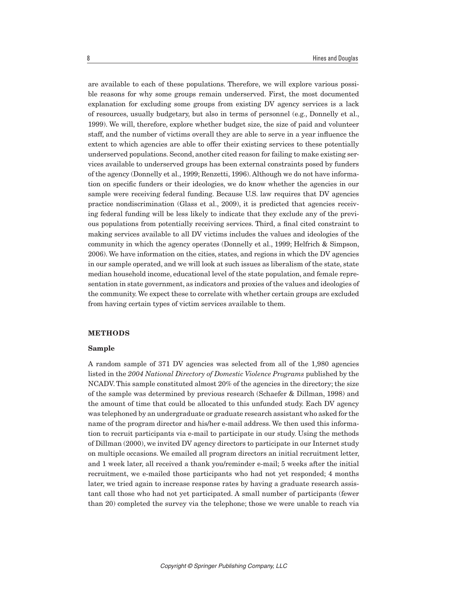are available to each of these populations. Therefore, we will explore various possible reasons for why some groups remain underserved. First, the most documented explanation for excluding some groups from existing DV agency services is a lack of resources, usually budgetary, but also in terms of personnel (e.g., Donnelly et al., 1999). We will, therefore, explore whether budget size, the size of paid and volunteer staff, and the number of victims overall they are able to serve in a year influence the extent to which agencies are able to offer their existing services to these potentially underserved populations. Second, another cited reason for failing to make existing services available to underserved groups has been external constraints posed by funders of the agency (Donnelly et al., 1999; Renzetti, 1996). Although we do not have information on specific funders or their ideologies, we do know whether the agencies in our sample were receiving federal funding. Because U.S. law requires that DV agencies practice nondiscrimination (Glass et al., 2009), it is predicted that agencies receiving federal funding will be less likely to indicate that they exclude any of the previous populations from potentially receiving services. Third, a final cited constraint to making services available to all DV victims includes the values and ideologies of the community in which the agency operates (Donnelly et al., 1999; Helfrich & Simpson, 2006). We have information on the cities, states, and regions in which the DV agencies in our sample operated, and we will look at such issues as liberalism of the state, state median household income, educational level of the state population, and female representation in state government, as indicators and proxies of the values and ideologies of the community. We expect these to correlate with whether certain groups are excluded from having certain types of victim services available to them.

#### **METHODS**

#### **Sample**

A random sample of 371 DV agencies was selected from all of the 1,980 agencies listed in the *2004 National Directory of Domestic Violence Programs* published by the NCADV. This sample constituted almost 20% of the agencies in the directory; the size of the sample was determined by previous research (Schaefer & Dillman, 1998) and the amount of time that could be allocated to this unfunded study. Each DV agency was telephoned by an undergraduate or graduate research assistant who asked for the name of the program director and his/her e-mail address. We then used this information to recruit participants via e-mail to participate in our study. Using the methods of Dillman (2000), we invited DV agency directors to participate in our Internet study on multiple occasions. We emailed all program directors an initial recruitment letter, and 1 week later, all received a thank you/reminder e-mail; 5 weeks after the initial recruitment, we e-mailed those participants who had not yet responded; 4 months later, we tried again to increase response rates by having a graduate research assistant call those who had not yet participated. A small number of participants (fewer than 20) completed the survey via the telephone; those we were unable to reach via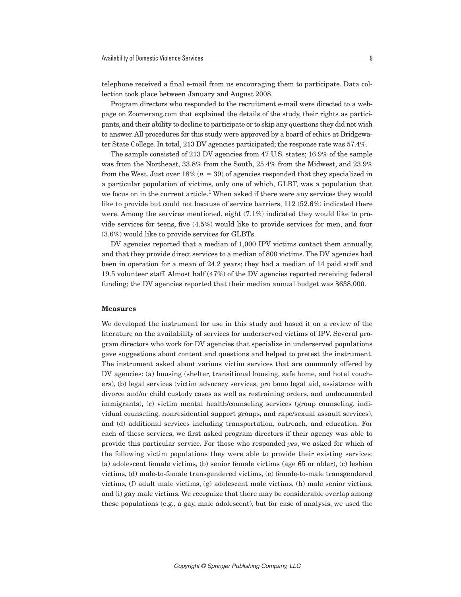telephone received a final e-mail from us encouraging them to participate. Data collection took place between January and August 2008.

Program directors who responded to the recruitment e-mail were directed to a webpage on Zoomerang.com that explained the details of the study, their rights as participants, and their ability to decline to participate or to skip any questions they did not wish to answer. All procedures for this study were approved by a board of ethics at Bridgewater State College. In total, 213 DV agencies participated; the response rate was 57.4%.

The sample consisted of 213 DV agencies from 47 U.S. states; 16.9% of the sample was from the Northeast, 33.8% from the South, 25.4% from the Midwest, and 23.9% from the West. Just over  $18\%$  ( $n = 39$ ) of agencies responded that they specialized in a particular population of victims, only one of which, GLBT, was a population that we focus on in the current article.1 When asked if there were any services they would like to provide but could not because of service barriers, 112 (52.6%) indicated there were. Among the services mentioned, eight (7.1%) indicated they would like to provide services for teens, five (4.5%) would like to provide services for men, and four (3.6%) would like to provide services for GLBTs.

DV agencies reported that a median of 1,000 IPV victims contact them annually, and that they provide direct services to a median of 800 victims. The DV agencies had been in operation for a mean of 24.2 years; they had a median of 14 paid staff and 19.5 volunteer staff. Almost half (47%) of the DV agencies reported receiving federal funding; the DV agencies reported that their median annual budget was \$638,000.

#### **Measures**

We developed the instrument for use in this study and based it on a review of the literature on the availability of services for underserved victims of IPV. Several program directors who work for DV agencies that specialize in underserved populations gave suggestions about content and questions and helped to pretest the instrument. The instrument asked about various victim services that are commonly offered by DV agencies: (a) housing (shelter, transitional housing, safe home, and hotel vouchers), (b) legal services (victim advocacy services, pro bono legal aid, assistance with divorce and/or child custody cases as well as restraining orders, and undocumented immigrants), (c) victim mental health/counseling services (group counseling, individual counseling, nonresidential support groups, and rape/sexual assault services), and (d) additional services including transportation, outreach, and education. For each of these services, we first asked program directors if their agency was able to provide this particular service. For those who responded *yes*, we asked for which of the following victim populations they were able to provide their existing services: (a) adolescent female victims, (b) senior female victims (age 65 or older), (c) lesbian victims, (d) male-to-female transgendered victims, (e) female-to-male transgendered victims, (f) adult male victims, (g) adolescent male victims, (h) male senior victims, and (i) gay male victims. We recognize that there may be considerable overlap among these populations (e.g., a gay, male adolescent), but for ease of analysis, we used the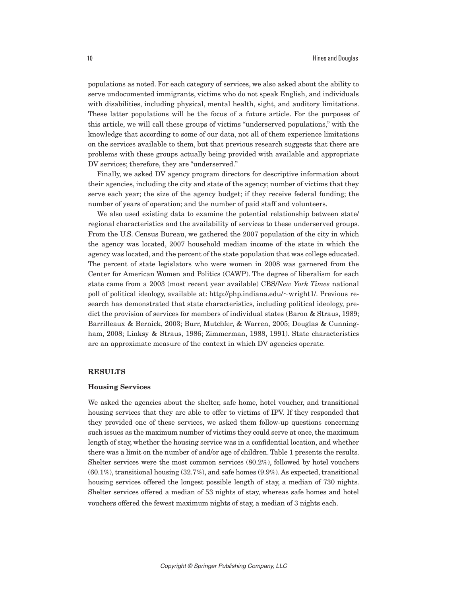populations as noted. For each category of services, we also asked about the ability to serve undocumented immigrants, victims who do not speak English, and individuals with disabilities, including physical, mental health, sight, and auditory limitations. These latter populations will be the focus of a future article. For the purposes of this article, we will call these groups of victims "underserved populations," with the knowledge that according to some of our data, not all of them experience limitations on the services available to them, but that previous research suggests that there are problems with these groups actually being provided with available and appropriate DV services; therefore, they are "underserved."

Finally, we asked DV agency program directors for descriptive information about their agencies, including the city and state of the agency; number of victims that they serve each year; the size of the agency budget; if they receive federal funding; the number of years of operation; and the number of paid staff and volunteers.

We also used existing data to examine the potential relationship between state/ regional characteristics and the availability of services to these underserved groups. From the U.S. Census Bureau, we gathered the 2007 population of the city in which the agency was located, 2007 household median income of the state in which the agency was located, and the percent of the state population that was college educated. The percent of state legislators who were women in 2008 was garnered from the Center for American Women and Politics (CAWP). The degree of liberalism for each state came from a 2003 (most recent year available) CBS/*New York Times* national poll of political ideology, available at: http://php.indiana.edu/ $\sim$ wright1/. Previous research has demonstrated that state characteristics, including political ideology, predict the provision of services for members of individual states (Baron & Straus, 1989; Barrilleaux & Bernick, 2003; Burr, Mutchler, & Warren, 2005; Douglas & Cunningham, 2008; Linksy & Straus, 1986; Zimmerman, 1988, 1991). State characteristics are an approximate measure of the context in which DV agencies operate.

#### **RESULTS**

#### **Housing Services**

We asked the agencies about the shelter, safe home, hotel voucher, and transitional housing services that they are able to offer to victims of IPV. If they responded that they provided one of these services, we asked them follow-up questions concerning such issues as the maximum number of victims they could serve at once, the maximum length of stay, whether the housing service was in a confidential location, and whether there was a limit on the number of and/or age of children. Table 1 presents the results. Shelter services were the most common services (80.2%), followed by hotel vouchers (60.1%), transitional housing (32.7%), and safe homes (9.9%). As expected, transitional housing services offered the longest possible length of stay, a median of 730 nights. Shelter services offered a median of 53 nights of stay, whereas safe homes and hotel vouchers offered the fewest maximum nights of stay, a median of 3 nights each.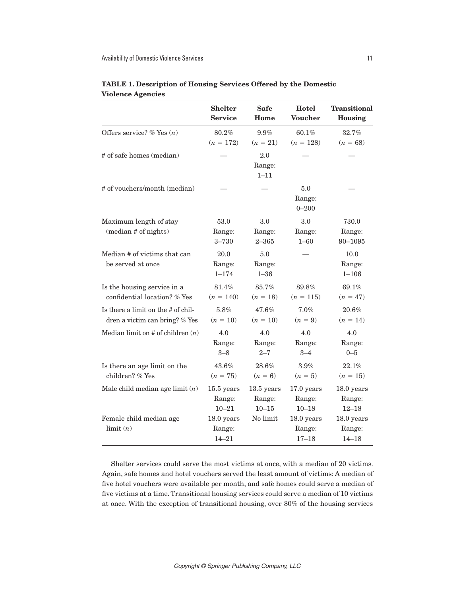|                                                   | <b>Shelter</b>                    | <b>Safe</b>                | Hotel                             | <b>Transitional</b>               |
|---------------------------------------------------|-----------------------------------|----------------------------|-----------------------------------|-----------------------------------|
|                                                   | <b>Service</b>                    | Home                       | <b>Voucher</b>                    | Housing                           |
| Offers service? % Yes $(n)$                       | 80.2%                             | 9.9%                       | 60.1%                             | 32.7%                             |
|                                                   | $(n = 172)$                       | $(n = 21)$                 | $(n = 128)$                       | $(n = 68)$                        |
| # of safe homes (median)                          |                                   | 2.0<br>Range:<br>$1 - 11$  |                                   |                                   |
| # of vouchers/month (median)                      |                                   |                            | 5.0<br>Range:<br>$0 - 200$        |                                   |
| Maximum length of stay<br>(median # of nights)    | 53.0<br>Range:<br>$3 - 730$       | 3.0<br>Range:<br>$2 - 365$ | 3.0<br>Range:<br>$1 - 60$         | 730.0<br>Range:<br>90-1095        |
| Median # of victims that can<br>be served at once | 20.0<br>Range:<br>$1 - 174$       | 5.0<br>Range:<br>$1 - 36$  |                                   | 10.0<br>Range:<br>$1 - 106$       |
| Is the housing service in a                       | $81.4\%$                          | 85.7%                      | 89.8%                             | 69.1%                             |
| confidential location? % Yes                      | $(n = 140)$                       | $(n = 18)$                 | $(n = 115)$                       | $(n = 47)$                        |
| Is there a limit on the # of chil-                | 5.8%                              | 47.6%                      | 7.0%                              | 20.6%                             |
| dren a victim can bring? % Yes                    | $(n = 10)$                        | $(n = 10)$                 | $(n = 9)$                         | $(n = 14)$                        |
| Median limit on $#$ of children $(n)$             | 4.0                               | 4.0                        | 4.0                               | 4.0                               |
|                                                   | Range:                            | Range:                     | Range:                            | Range:                            |
|                                                   | $3 - 8$                           | $2 - 7$                    | $3 - 4$                           | $0 - 5$                           |
| Is there an age limit on the                      | 43.6%                             | 28.6%                      | 3.9%                              | 22.1%                             |
| children? % Yes                                   | $(n = 75)$                        | $(n = 6)$                  | $(n = 5)$                         | $(n = 15)$                        |
| Male child median age $\lim_{n \to \infty} f(n)$  | $15.5$ years                      | $13.5$ years               | 17.0 years                        | 18.0 years                        |
|                                                   | Range:                            | Range:                     | Range:                            | Range:                            |
|                                                   | $10 - 21$                         | $10 - 15$                  | $10 - 18$                         | $12 - 18$                         |
| Female child median age<br>limit(n)               | 18.0 years<br>Range:<br>$14 - 21$ | No limit                   | 18.0 years<br>Range:<br>$17 - 18$ | 18.0 years<br>Range:<br>$14 - 18$ |

| <b>TABLE 1. Description of Housing Services Offered by the Domestic</b> |  |  |
|-------------------------------------------------------------------------|--|--|
| <b>Violence Agencies</b>                                                |  |  |

Shelter services could serve the most victims at once, with a median of 20 victims. Again, safe homes and hotel vouchers served the least amount of victims: A median of five hotel vouchers were available per month, and safe homes could serve a median of five victims at a time. Transitional housing services could serve a median of 10 victims at once. With the exception of transitional housing, over 80% of the housing services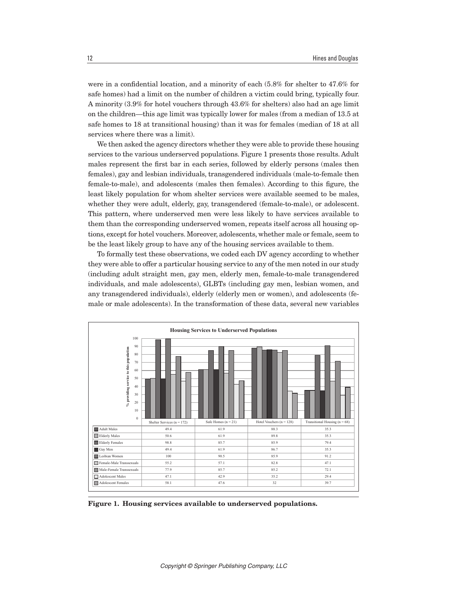were in a confidential location, and a minority of each (5.8% for shelter to 47.6% for safe homes) had a limit on the number of children a victim could bring, typically four. A minority (3.9% for hotel vouchers through 43.6% for shelters) also had an age limit on the children—this age limit was typically lower for males (from a median of 13.5 at safe homes to 18 at transitional housing) than it was for females (median of 18 at all services where there was a limit).

We then asked the agency directors whether they were able to provide these housing services to the various underserved populations. Figure 1 presents those results. Adult males represent the first bar in each series, followed by elderly persons (males then females), gay and lesbian individuals, transgendered individuals (male-to-female then female-to-male), and adolescents (males then females). According to this figure, the least likely population for whom shelter services were available seemed to be males, whether they were adult, elderly, gay, transgendered (female-to-male), or adolescent. This pattern, where underserved men were less likely to have services available to them than the corresponding underserved women, repeats itself across all housing options, except for hotel vouchers. Moreover, adolescents, whether male or female, seem to be the least likely group to have any of the housing services available to them.

To formally test these observations, we coded each DV agency according to whether they were able to offer a particular housing service to any of the men noted in our study (including adult straight men, gay men, elderly men, female-to-male transgendered individuals, and male adolescents), GLBTs (including gay men, lesbian women, and any transgendered individuals), elderly (elderly men or women), and adolescents (female or male adolescents). In the transformation of these data, several new variables



**Figure 1. Housing services available to underserved populations.**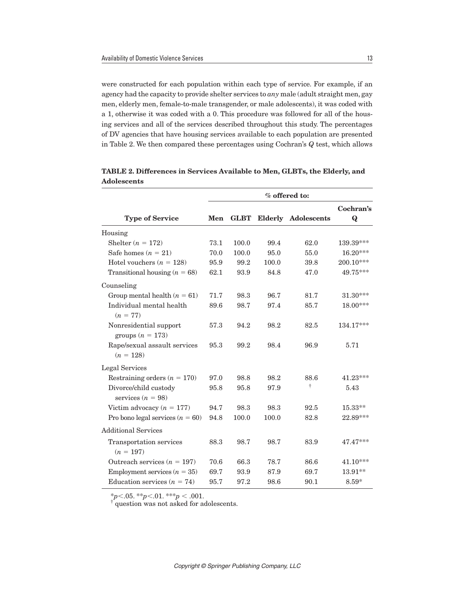were constructed for each population within each type of service. For example, if an agency had the capacity to provide shelter services to *any* male (adult straight men, gay men, elderly men, female-to-male transgender, or male adolescents), it was coded with a 1, otherwise it was coded with a 0. This procedure was followed for all of the housing services and all of the services described throughout this study. The percentages of DV agencies that have housing services available to each population are presented in Table 2. We then compared these percentages using Cochran's *Q* test, which allows

|                                              | % offered to: |             |         |             |                          |  |
|----------------------------------------------|---------------|-------------|---------|-------------|--------------------------|--|
| <b>Type of Service</b>                       | Men           | <b>GLBT</b> | Elderly | Adolescents | Cochran's<br>$\mathbf Q$ |  |
| Housing                                      |               |             |         |             |                          |  |
|                                              | 73.1          | 100.0       | 99.4    | 62.0        | 139.39***                |  |
| Shelter $(n = 172)$                          |               |             |         |             |                          |  |
| Safe homes $(n = 21)$                        | 70.0          | 100.0       | 95.0    | 55.0        | 16.20***                 |  |
| Hotel vouchers $(n = 128)$                   | 95.9          | 99.2        | 100.0   | 39.8        | $200.10***$              |  |
| Transitional housing $(n = 68)$              | 62.1          | 93.9        | 84.8    | 47.0        | 49.75***                 |  |
| Counseling                                   |               |             |         |             |                          |  |
| Group mental health $(n = 61)$               | 71.7          | 98.3        | 96.7    | 81.7        | $31.30***$               |  |
| Individual mental health<br>$(n = 77)$       | 89.6          | 98.7        | 97.4    | 85.7        | 18.00***                 |  |
| Nonresidential support<br>groups $(n = 173)$ | 57.3          | 94.2        | 98.2    | 82.5        | 134.17***                |  |
| Rape/sexual assault services<br>$(n = 128)$  | 95.3          | 99.2        | 98.4    | 96.9        | 5.71                     |  |
| Legal Services                               |               |             |         |             |                          |  |
| Restraining orders $(n = 170)$               | 97.0          | 98.8        | 98.2    | 88.6        | $41.23***$               |  |
| Divorce/child custody<br>services $(n = 98)$ | 95.8          | 95.8        | 97.9    | Ť           | 5.43                     |  |
| Victim advocacy ( $n = 177$ )                | 94.7          | 98.3        | 98.3    | 92.5        | $15.33**$                |  |
| Pro bono legal services $(n = 60)$           | 94.8          | 100.0       | 100.0   | 82.8        | 22.89***                 |  |
| <b>Additional Services</b>                   |               |             |         |             |                          |  |
| Transportation services<br>$(n = 197)$       | 88.3          | 98.7        | 98.7    | 83.9        | 47.47***                 |  |
| Outreach services $(n = 197)$                | 70.6          | 66.3        | 78.7    | 86.6        | $41.10***$               |  |
| Employment services $(n = 35)$               | 69.7          | 93.9        | 87.9    | 69.7        | $13.91**$                |  |
| Education services $(n = 74)$                | 95.7          | 97.2        | 98.6    | 90.1        | $8.59*$                  |  |

| TABLE 2. Differences in Services Available to Men, GLBTs, the Elderly, and |  |  |
|----------------------------------------------------------------------------|--|--|
| <b>Adolescents</b>                                                         |  |  |

 $*_{p}<.05.$   $*_{p}<.01.$   $**_{p}<.001.$ 

† question was not asked for adolescents.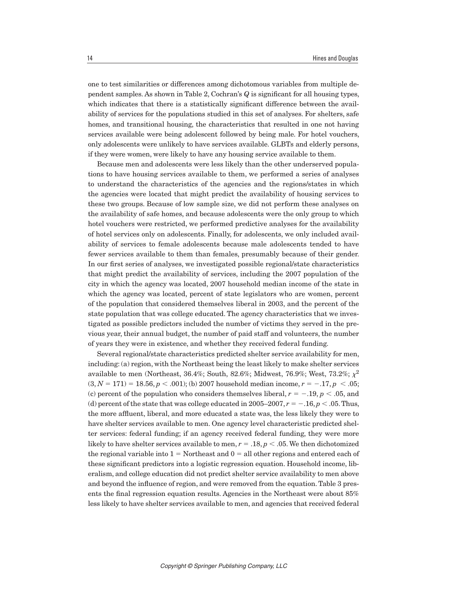one to test similarities or differences among dichotomous variables from multiple dependent samples. As shown in Table 2, Cochran's *Q* is significant for all housing types, which indicates that there is a statistically significant difference between the availability of services for the populations studied in this set of analyses. For shelters, safe homes, and transitional housing, the characteristics that resulted in one not having services available were being adolescent followed by being male. For hotel vouchers, only adolescents were unlikely to have services available. GLBTs and elderly persons, if they were women, were likely to have any housing service available to them.

Because men and adolescents were less likely than the other underserved populations to have housing services available to them, we performed a series of analyses to understand the characteristics of the agencies and the regions/states in which the agencies were located that might predict the availability of housing services to these two groups. Because of low sample size, we did not perform these analyses on the availability of safe homes, and because adolescents were the only group to which hotel vouchers were restricted, we performed predictive analyses for the availability of hotel services only on adolescents. Finally, for adolescents, we only included availability of services to female adolescents because male adolescents tended to have fewer services available to them than females, presumably because of their gender. In our first series of analyses, we investigated possible regional/state characteristics that might predict the availability of services, including the 2007 population of the city in which the agency was located, 2007 household median income of the state in which the agency was located, percent of state legislators who are women, percent of the population that considered themselves liberal in 2003, and the percent of the state population that was college educated. The agency characteristics that we investigated as possible predictors included the number of victims they served in the previous year, their annual budget, the number of paid staff and volunteers, the number of years they were in existence, and whether they received federal funding.

Several regional/state characteristics predicted shelter service availability for men, including: (a) region, with the Northeast being the least likely to make shelter services available to men (Northeast, 36.4%; South, 82.6%; Midwest, 76.9%; West, 73.2%;  $\chi^2$  $(3, N = 171) = 18.56, p < .001$ ; (b) 2007 household median income,  $r = -.17, p < .05$ ; (c) percent of the population who considers themselves liberal,  $r = -.19, p < .05$ , and (d) percent of the state that was college educated in 2005–2007,  $r = -.16$ ,  $p < .05$ . Thus, the more affluent, liberal, and more educated a state was, the less likely they were to have shelter services available to men. One agency level characteristic predicted shelter services: federal funding; if an agency received federal funding, they were more likely to have shelter services available to men,  $r = .18$ ,  $p < .05$ . We then dichotomized the regional variable into  $1 =$  Northeast and  $0 =$  all other regions and entered each of these significant predictors into a logistic regression equation. Household income, liberalism, and college education did not predict shelter service availability to men above and beyond the influence of region, and were removed from the equation. Table 3 presents the final regression equation results. Agencies in the Northeast were about 85% less likely to have shelter services available to men, and agencies that received federal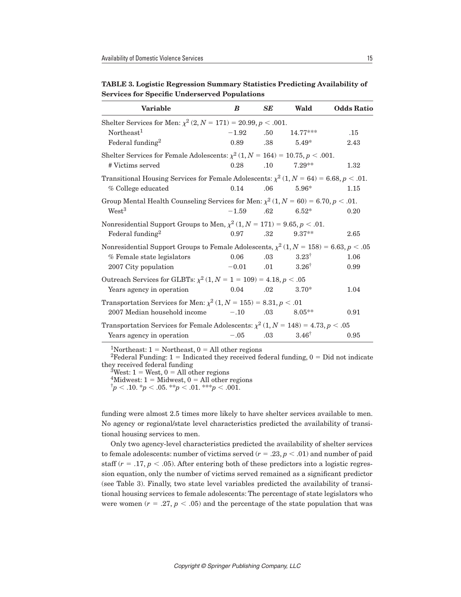| TABLE 3. Logistic Regression Summary Statistics Predicting Availability of |
|----------------------------------------------------------------------------|
| <b>Services for Specific Underserved Populations</b>                       |

| <b>Variable</b>                                                                             | B           | <b>SE</b>       | Wald             | <b>Odds Ratio</b> |
|---------------------------------------------------------------------------------------------|-------------|-----------------|------------------|-------------------|
| Shelter Services for Men: $\chi^2$ (2, N = 171) = 20.99, p < .001.                          |             |                 |                  |                   |
| Northeast <sup>1</sup>                                                                      | $-1.92$     | .50             | 14.77***         | .15               |
| Federal funding <sup>2</sup>                                                                | 0.89        | .38             | $5.49*$          | 2.43              |
| Shelter Services for Female Adolescents: $\chi^2$ (1, N = 164) = 10.75, p < .001.           |             |                 |                  |                   |
| # Victims served                                                                            | 0.28        | .10             | $7.29**$         | 1.32              |
| Transitional Housing Services for Female Adolescents: $\chi^2$ (1, N = 64) = 6.68, p < .01. |             |                 |                  |                   |
| % College educated                                                                          | 0.14        | .06             | $5.96*$          | 1.15              |
| Group Mental Health Counseling Services for Men: $\chi^2$ (1, N = 60) = 6.70, p < .01.      |             |                 |                  |                   |
| West <sup>3</sup>                                                                           | $-1.59$ .62 |                 | $6.52*$          | 0.20              |
| Nonresidential Support Groups to Men, $\chi^2$ (1, $N = 171$ ) = 9.65, $p < .01$ .          |             |                 |                  |                   |
| Federal funding <sup>2</sup>                                                                | 0.97        | .32             | $9.37**$         | 2.65              |
| Nonresidential Support Groups to Female Adolescents, $\chi^2$ (1, N = 158) = 6.63, p < .05  |             |                 |                  |                   |
| % Female state legislators                                                                  |             | 0.06 .03        | $3.23^{\dagger}$ | 1.06              |
| 2007 City population                                                                        | $-0.01$     | $\overline{01}$ | $3.26^{\dagger}$ | 0.99              |
| Outreach Services for GLBTs: $\chi^2$ (1, N = 1 = 109) = 4.18, p < .05                      |             |                 |                  |                   |
| Years agency in operation                                                                   | 0.04        | .02             | $3.70*$          | 1.04              |
| Transportation Services for Men: $\chi^2$ (1, N = 155) = 8.31, p < .01                      |             |                 |                  |                   |
| 2007 Median household income                                                                | $-.10$      | .03             | $8.05**$         | 0.91              |
| Transportation Services for Female Adolescents: $\chi^2$ (1, N = 148) = 4.73, p < .05       |             |                 |                  |                   |
| Years agency in operation                                                                   | $-.05$      | .03             | $3.46^{\dagger}$ | 0.95              |
|                                                                                             |             |                 |                  |                   |

<sup>1</sup>Northeast:  $1 =$  Northeast,  $0 =$  All other regions

<sup>2</sup>Federal Funding: 1 = Indicated they received federal funding,  $0 = Did$  not indicate they received federal funding

<sup>3</sup>West:  $1 =$  West,  $0 =$  All other regions

<sup>4</sup>Midwest:  $1 =$  Midwest,  $0 =$  All other regions

 $\ddot{p}$  < .10.  $\ddot{p}$  < .05. \*\**p* < .01. \*\*\**p* < .001.

funding were almost 2.5 times more likely to have shelter services available to men. No agency or regional/state level characteristics predicted the availability of transitional housing services to men.

Only two agency-level characteristics predicted the availability of shelter services to female adolescents: number of victims served  $(r = .23, p < .01)$  and number of paid staff  $(r = .17, p < .05)$ . After entering both of these predictors into a logistic regression equation, only the number of victims served remained as a significant predictor (see Table 3). Finally, two state level variables predicted the availability of transitional housing services to female adolescents: The percentage of state legislators who were women  $(r = .27, p < .05)$  and the percentage of the state population that was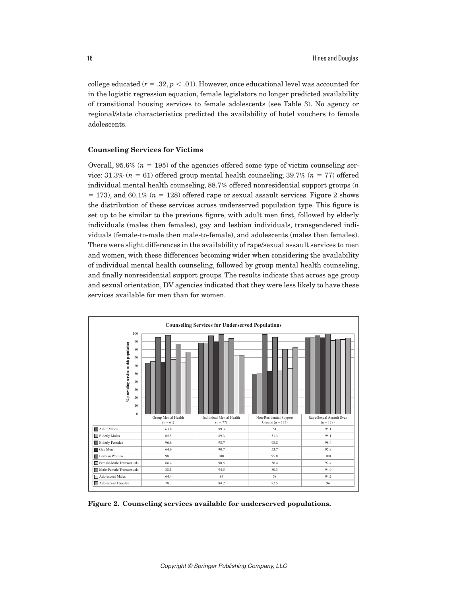college educated  $(r = .32, p < .01)$ . However, once educational level was accounted for in the logistic regression equation, female legislators no longer predicted availability of transitional housing services to female adolescents (see Table 3). No agency or regional/state characteristics predicted the availability of hotel vouchers to female adolescents.

#### **Counseling Services for Victims**

Overall,  $95.6\%$  ( $n = 195$ ) of the agencies offered some type of victim counseling service: 31.3% ( $n = 61$ ) offered group mental health counseling, 39.7% ( $n = 77$ ) offered individual mental health counseling, 88.7% offered nonresidential support groups (*n*  $= 173$ ), and 60.1% ( $n = 128$ ) offered rape or sexual assault services. Figure 2 shows the distribution of these services across underserved population type. This figure is set up to be similar to the previous figure, with adult men first, followed by elderly individuals (males then females), gay and lesbian individuals, transgendered individuals (female-to-male then male-to-female), and adolescents (males then females). There were slight differences in the availability of rape/sexual assault services to men and women, with these differences becoming wider when considering the availability of individual mental health counseling, followed by group mental health counseling, and finally nonresidential support groups. The results indicate that across age group and sexual orientation, DV agencies indicated that they were less likely to have these services available for men than for women.



**Figure 2. Counseling services available for underserved populations.**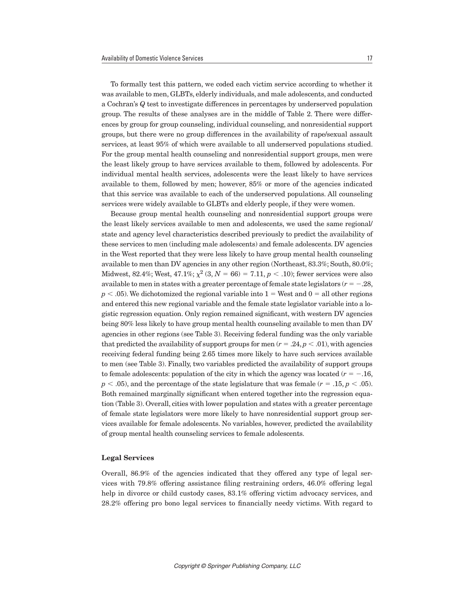To formally test this pattern, we coded each victim service according to whether it was available to men, GLBTs, elderly individuals, and male adolescents, and conducted a Cochran's *Q* test to investigate differences in percentages by underserved population group. The results of these analyses are in the middle of Table 2. There were differences by group for group counseling, individual counseling, and nonresidential support groups, but there were no group differences in the availability of rape/sexual assault services, at least 95% of which were available to all underserved populations studied. For the group mental health counseling and nonresidential support groups, men were the least likely group to have services available to them, followed by adolescents. For individual mental health services, adolescents were the least likely to have services available to them, followed by men; however, 85% or more of the agencies indicated that this service was available to each of the underserved populations. All counseling services were widely available to GLBTs and elderly people, if they were women.

Because group mental health counseling and nonresidential support groups were the least likely services available to men and adolescents, we used the same regional/ state and agency level characteristics described previously to predict the availability of these services to men (including male adolescents) and female adolescents. DV agencies in the West reported that they were less likely to have group mental health counseling available to men than DV agencies in any other region (Northeast, 83.3%; South, 80.0%; Midwest, 82.4%; West, 47.1%;  $\chi^2$  (3,  $N = 66$ ) = 7.11,  $p < .10$ ); fewer services were also available to men in states with a greater percentage of female state legislators  $(r = -.28, ...)$  $p < .05$ ). We dichotomized the regional variable into  $1 =$  West and  $0 =$  all other regions and entered this new regional variable and the female state legislator variable into a logistic regression equation. Only region remained significant, with western DV agencies being 80% less likely to have group mental health counseling available to men than DV agencies in other regions (see Table 3). Receiving federal funding was the only variable that predicted the availability of support groups for men  $(r = .24, p < .01)$ , with agencies receiving federal funding being 2.65 times more likely to have such services available to men (see Table 3). Finally, two variables predicted the availability of support groups to female adolescents: population of the city in which the agency was located  $(r = -.16, ...)$  $p < .05$ , and the percentage of the state legislature that was female ( $r = .15$ ,  $p < .05$ ). Both remained marginally significant when entered together into the regression equation (Table 3). Overall, cities with lower population and states with a greater percentage of female state legislators were more likely to have nonresidential support group services available for female adolescents. No variables, however, predicted the availability of group mental health counseling services to female adolescents.

#### **Legal Services**

Overall, 86.9% of the agencies indicated that they offered any type of legal services with 79.8% offering assistance filing restraining orders, 46.0% offering legal help in divorce or child custody cases, 83.1% offering victim advocacy services, and 28.2% offering pro bono legal services to financially needy victims. With regard to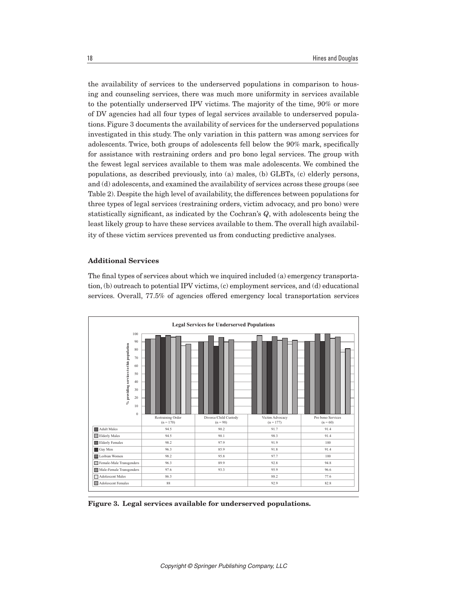the availability of services to the underserved populations in comparison to housing and counseling services, there was much more uniformity in services available to the potentially underserved IPV victims. The majority of the time, 90% or more of DV agencies had all four types of legal services available to underserved populations. Figure 3 documents the availability of services for the underserved populations investigated in this study. The only variation in this pattern was among services for adolescents. Twice, both groups of adolescents fell below the 90% mark, specifically for assistance with restraining orders and pro bono legal services. The group with the fewest legal services available to them was male adolescents. We combined the populations, as described previously, into (a) males, (b) GLBTs, (c) elderly persons, and (d) adolescents, and examined the availability of services across these groups (see Table 2). Despite the high level of availability, the differences between populations for three types of legal services (restraining orders, victim advocacy, and pro bono) were statistically significant, as indicated by the Cochran's *Q*, with adolescents being the least likely group to have these services available to them. The overall high availability of these victim services prevented us from conducting predictive analyses.

#### **Additional Services**

The final types of services about which we inquired included (a) emergency transportation, (b) outreach to potential IPV victims, (c) employment services, and (d) educational services. Overall, 77.5% of agencies offered emergency local transportation services



**Figure 3. Legal services available for underserved populations.**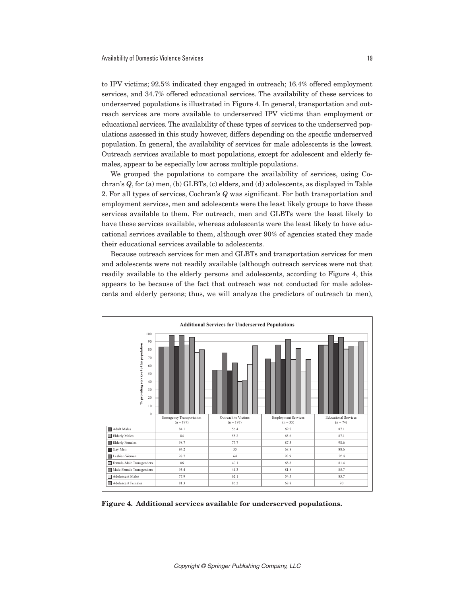to IPV victims; 92.5% indicated they engaged in outreach; 16.4% offered employment services, and 34.7% offered educational services. The availability of these services to underserved populations is illustrated in Figure 4. In general, transportation and outreach services are more available to underserved IPV victims than employment or educational services. The availability of these types of services to the underserved populations assessed in this study however, differs depending on the specific underserved population. In general, the availability of services for male adolescents is the lowest. Outreach services available to most populations, except for adolescent and elderly females, appear to be especially low across multiple populations.

We grouped the populations to compare the availability of services, using Cochran's *Q*, for (a) men, (b) GLBTs, (c) elders, and (d) adolescents, as displayed in Table 2. For all types of services, Cochran's *Q* was significant. For both transportation and employment services, men and adolescents were the least likely groups to have these services available to them. For outreach, men and GLBTs were the least likely to have these services available, whereas adolescents were the least likely to have educational services available to them, although over 90% of agencies stated they made their educational services available to adolescents.

Because outreach services for men and GLBTs and transportation services for men and adolescents were not readily available (although outreach services were not that readily available to the elderly persons and adolescents, according to Figure 4, this appears to be because of the fact that outreach was not conducted for male adolescents and elderly persons; thus, we will analyze the predictors of outreach to men),



**Figure 4. Additional services available for underserved populations.**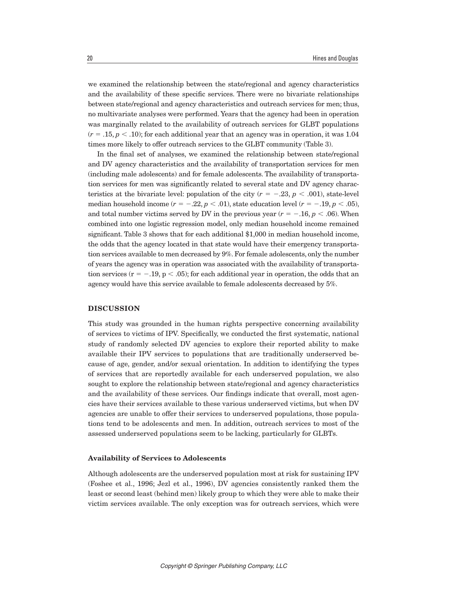we examined the relationship between the state/regional and agency characteristics and the availability of these specific services. There were no bivariate relationships between state/regional and agency characteristics and outreach services for men; thus, no multivariate analyses were performed. Years that the agency had been in operation was marginally related to the availability of outreach services for GLBT populations  $(r = .15, p < .10)$ ; for each additional year that an agency was in operation, it was 1.04 times more likely to offer outreach services to the GLBT community (Table 3).

In the final set of analyses, we examined the relationship between state/regional and DV agency characteristics and the availability of transportation services for men (including male adolescents) and for female adolescents. The availability of transportation services for men was significantly related to several state and DV agency characteristics at the bivariate level: population of the city  $(r = -.23, p < .001)$ , state-level median household income  $(r = -.22, p < .01)$ , state education level  $(r = -.19, p < .05)$ , and total number victims served by DV in the previous year  $(r = -.16, p < .06)$ . When combined into one logistic regression model, only median household income remained significant. Table 3 shows that for each additional \$1,000 in median household income, the odds that the agency located in that state would have their emergency transportation services available to men decreased by 9%. For female adolescents, only the number of years the agency was in operation was associated with the availability of transportation services ( $r = -.19$ ,  $p < .05$ ); for each additional year in operation, the odds that an agency would have this service available to female adolescents decreased by 5%.

#### **DISCUSSION**

This study was grounded in the human rights perspective concerning availability of services to victims of IPV. Specifically, we conducted the first systematic, national study of randomly selected DV agencies to explore their reported ability to make available their IPV services to populations that are traditionally underserved because of age, gender, and/or sexual orientation. In addition to identifying the types of services that are reportedly available for each underserved population, we also sought to explore the relationship between state/regional and agency characteristics and the availability of these services. Our findings indicate that overall, most agencies have their services available to these various underserved victims, but when DV agencies are unable to offer their services to underserved populations, those populations tend to be adolescents and men. In addition, outreach services to most of the assessed underserved populations seem to be lacking, particularly for GLBTs.

#### **Availability of Services to Adolescents**

Although adolescents are the underserved population most at risk for sustaining IPV (Foshee et al., 1996; Jezl et al., 1996), DV agencies consistently ranked them the least or second least (behind men) likely group to which they were able to make their victim services available. The only exception was for outreach services, which were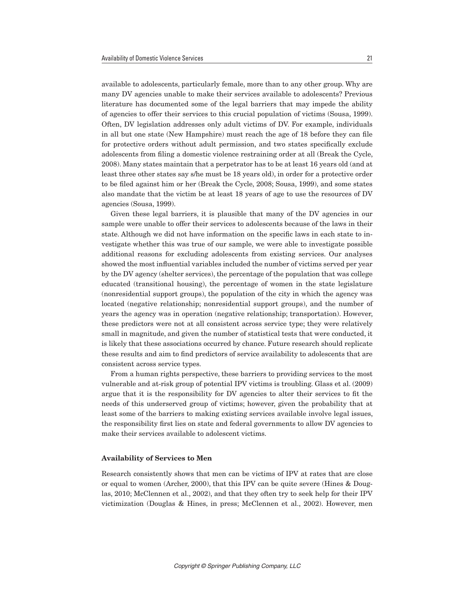available to adolescents, particularly female, more than to any other group. Why are many DV agencies unable to make their services available to adolescents? Previous literature has documented some of the legal barriers that may impede the ability of agencies to offer their services to this crucial population of victims (Sousa, 1999). Often, DV legislation addresses only adult victims of DV. For example, individuals in all but one state (New Hampshire) must reach the age of 18 before they can file for protective orders without adult permission, and two states specifically exclude adolescents from filing a domestic violence restraining order at all (Break the Cycle, 2008). Many states maintain that a perpetrator has to be at least 16 years old (and at least three other states say s/he must be 18 years old), in order for a protective order to be filed against him or her (Break the Cycle, 2008; Sousa, 1999), and some states also mandate that the victim be at least 18 years of age to use the resources of DV agencies (Sousa, 1999).

Given these legal barriers, it is plausible that many of the DV agencies in our sample were unable to offer their services to adolescents because of the laws in their state. Although we did not have information on the specific laws in each state to investigate whether this was true of our sample, we were able to investigate possible additional reasons for excluding adolescents from existing services. Our analyses showed the most influential variables included the number of victims served per year by the DV agency (shelter services), the percentage of the population that was college educated (transitional housing), the percentage of women in the state legislature (nonresidential support groups), the population of the city in which the agency was located (negative relationship; nonresidential support groups), and the number of years the agency was in operation (negative relationship; transportation). However, these predictors were not at all consistent across service type; they were relatively small in magnitude, and given the number of statistical tests that were conducted, it is likely that these associations occurred by chance. Future research should replicate these results and aim to find predictors of service availability to adolescents that are consistent across service types.

From a human rights perspective, these barriers to providing services to the most vulnerable and at-risk group of potential IPV victims is troubling. Glass et al. (2009) argue that it is the responsibility for DV agencies to alter their services to fit the needs of this underserved group of victims; however, given the probability that at least some of the barriers to making existing services available involve legal issues, the responsibility first lies on state and federal governments to allow DV agencies to make their services available to adolescent victims.

#### **Availability of Services to Men**

Research consistently shows that men can be victims of IPV at rates that are close or equal to women (Archer, 2000), that this IPV can be quite severe (Hines & Douglas, 2010; McClennen et al., 2002), and that they often try to seek help for their IPV victimization (Douglas & Hines, in press; McClennen et al., 2002). However, men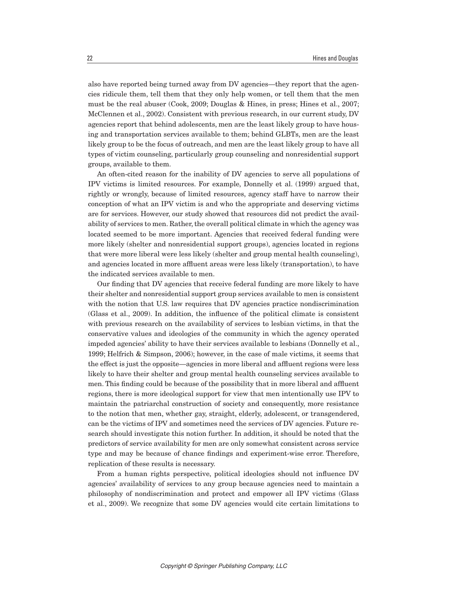also have reported being turned away from DV agencies—they report that the agencies ridicule them, tell them that they only help women, or tell them that the men must be the real abuser (Cook, 2009; Douglas & Hines, in press; Hines et al., 2007; McClennen et al., 2002). Consistent with previous research, in our current study, DV agencies report that behind adolescents, men are the least likely group to have housing and transportation services available to them; behind GLBTs, men are the least likely group to be the focus of outreach, and men are the least likely group to have all types of victim counseling, particularly group counseling and nonresidential support groups, available to them.

An often-cited reason for the inability of DV agencies to serve all populations of IPV victims is limited resources. For example, Donnelly et al. (1999) argued that, rightly or wrongly, because of limited resources, agency staff have to narrow their conception of what an IPV victim is and who the appropriate and deserving victims are for services. However, our study showed that resources did not predict the availability of services to men. Rather, the overall political climate in which the agency was located seemed to be more important. Agencies that received federal funding were more likely (shelter and nonresidential support groups), agencies located in regions that were more liberal were less likely (shelter and group mental health counseling), and agencies located in more affluent areas were less likely (transportation), to have the indicated services available to men.

Our finding that DV agencies that receive federal funding are more likely to have their shelter and nonresidential support group services available to men is consistent with the notion that U.S. law requires that DV agencies practice nondiscrimination (Glass et al., 2009). In addition, the influence of the political climate is consistent with previous research on the availability of services to lesbian victims, in that the conservative values and ideologies of the community in which the agency operated impeded agencies' ability to have their services available to lesbians (Donnelly et al., 1999; Helfrich & Simpson, 2006); however, in the case of male victims, it seems that the effect is just the opposite—agencies in more liberal and affluent regions were less likely to have their shelter and group mental health counseling services available to men. This finding could be because of the possibility that in more liberal and affluent regions, there is more ideological support for view that men intentionally use IPV to maintain the patriarchal construction of society and consequently, more resistance to the notion that men, whether gay, straight, elderly, adolescent, or transgendered, can be the victims of IPV and sometimes need the services of DV agencies. Future research should investigate this notion further. In addition, it should be noted that the predictors of service availability for men are only somewhat consistent across service type and may be because of chance findings and experiment-wise error. Therefore, replication of these results is necessary.

From a human rights perspective, political ideologies should not influence DV agencies' availability of services to any group because agencies need to maintain a philosophy of nondiscrimination and protect and empower all IPV victims (Glass et al., 2009). We recognize that some DV agencies would cite certain limitations to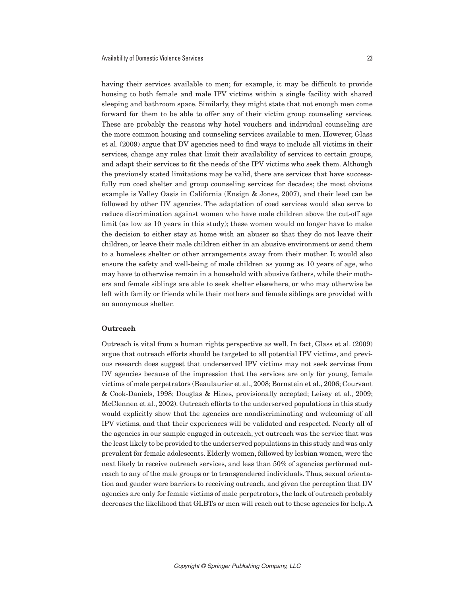having their services available to men; for example, it may be difficult to provide housing to both female and male IPV victims within a single facility with shared sleeping and bathroom space. Similarly, they might state that not enough men come forward for them to be able to offer any of their victim group counseling services. These are probably the reasons why hotel vouchers and individual counseling are the more common housing and counseling services available to men. However, Glass et al. (2009) argue that DV agencies need to find ways to include all victims in their services, change any rules that limit their availability of services to certain groups, and adapt their services to fit the needs of the IPV victims who seek them. Although the previously stated limitations may be valid, there are services that have successfully run coed shelter and group counseling services for decades; the most obvious example is Valley Oasis in California (Ensign & Jones, 2007), and their lead can be followed by other DV agencies. The adaptation of coed services would also serve to reduce discrimination against women who have male children above the cut-off age limit (as low as 10 years in this study); these women would no longer have to make the decision to either stay at home with an abuser so that they do not leave their children, or leave their male children either in an abusive environment or send them to a homeless shelter or other arrangements away from their mother. It would also ensure the safety and well-being of male children as young as 10 years of age, who may have to otherwise remain in a household with abusive fathers, while their mothers and female siblings are able to seek shelter elsewhere, or who may otherwise be left with family or friends while their mothers and female siblings are provided with an anonymous shelter.

#### **Outreach**

Outreach is vital from a human rights perspective as well. In fact, Glass et al. (2009) argue that outreach efforts should be targeted to all potential IPV victims, and previous research does suggest that underserved IPV victims may not seek services from DV agencies because of the impression that the services are only for young, female victims of male perpetrators (Beaulaurier et al., 2008; Bornstein et al., 2006; Courvant & Cook-Daniels, 1998; Douglas & Hines, provisionally accepted; Leisey et al., 2009; McClennen et al., 2002). Outreach efforts to the underserved populations in this study would explicitly show that the agencies are nondiscriminating and welcoming of all IPV victims, and that their experiences will be validated and respected. Nearly all of the agencies in our sample engaged in outreach, yet outreach was the service that was the least likely to be provided to the underserved populations in this study and was only prevalent for female adolescents. Elderly women, followed by lesbian women, were the next likely to receive outreach services, and less than 50% of agencies performed outreach to any of the male groups or to transgendered individuals. Thus, sexual orientation and gender were barriers to receiving outreach, and given the perception that DV agencies are only for female victims of male perpetrators, the lack of outreach probably decreases the likelihood that GLBTs or men will reach out to these agencies for help. A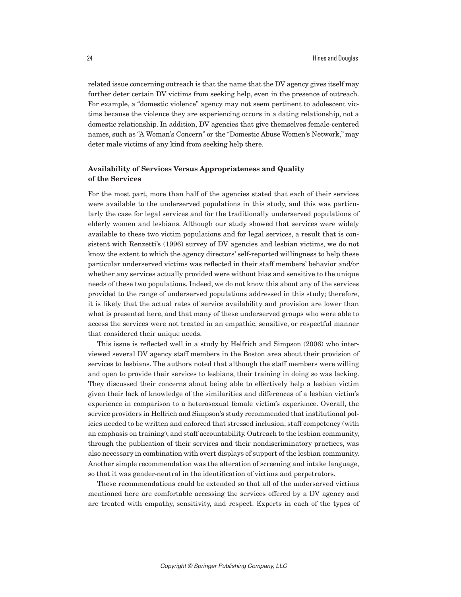related issue concerning outreach is that the name that the DV agency gives itself may further deter certain DV victims from seeking help, even in the presence of outreach. For example, a "domestic violence" agency may not seem pertinent to adolescent victims because the violence they are experiencing occurs in a dating relationship, not a domestic relationship. In addition, DV agencies that give themselves female-centered names, such as "A Woman's Concern" or the "Domestic Abuse Women's Network," may deter male victims of any kind from seeking help there.

#### **Availability of Services Versus Appropriateness and Quality of the Services**

For the most part, more than half of the agencies stated that each of their services were available to the underserved populations in this study, and this was particularly the case for legal services and for the traditionally underserved populations of elderly women and lesbians. Although our study showed that services were widely available to these two victim populations and for legal services, a result that is consistent with Renzetti's (1996) survey of DV agencies and lesbian victims, we do not know the extent to which the agency directors' self-reported willingness to help these particular underserved victims was reflected in their staff members' behavior and/or whether any services actually provided were without bias and sensitive to the unique needs of these two populations. Indeed, we do not know this about any of the services provided to the range of underserved populations addressed in this study; therefore, it is likely that the actual rates of service availability and provision are lower than what is presented here, and that many of these underserved groups who were able to access the services were not treated in an empathic, sensitive, or respectful manner that considered their unique needs.

This issue is reflected well in a study by Helfrich and Simpson (2006) who interviewed several DV agency staff members in the Boston area about their provision of services to lesbians. The authors noted that although the staff members were willing and open to provide their services to lesbians, their training in doing so was lacking. They discussed their concerns about being able to effectively help a lesbian victim given their lack of knowledge of the similarities and differences of a lesbian victim's experience in comparison to a heterosexual female victim's experience. Overall, the service providers in Helfrich and Simpson's study recommended that institutional policies needed to be written and enforced that stressed inclusion, staff competency (with an emphasis on training), and staff accountability. Outreach to the lesbian community, through the publication of their services and their nondiscriminatory practices, was also necessary in combination with overt displays of support of the lesbian community. Another simple recommendation was the alteration of screening and intake language, so that it was gender-neutral in the identification of victims and perpetrators.

These recommendations could be extended so that all of the underserved victims mentioned here are comfortable accessing the services offered by a DV agency and are treated with empathy, sensitivity, and respect. Experts in each of the types of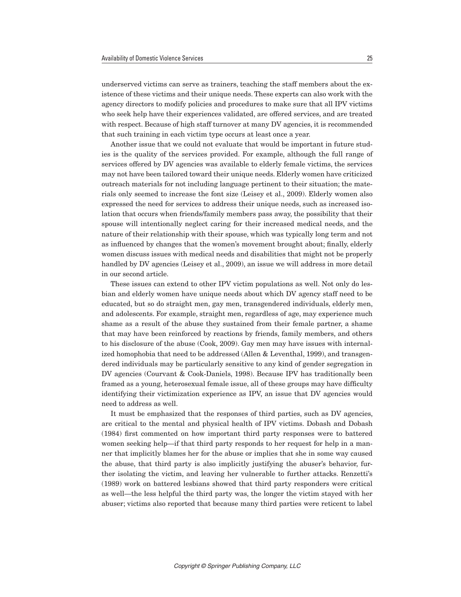underserved victims can serve as trainers, teaching the staff members about the existence of these victims and their unique needs. These experts can also work with the agency directors to modify policies and procedures to make sure that all IPV victims who seek help have their experiences validated, are offered services, and are treated with respect. Because of high staff turnover at many DV agencies, it is recommended that such training in each victim type occurs at least once a year.

Another issue that we could not evaluate that would be important in future studies is the quality of the services provided. For example, although the full range of services offered by DV agencies was available to elderly female victims, the services may not have been tailored toward their unique needs. Elderly women have criticized outreach materials for not including language pertinent to their situation; the materials only seemed to increase the font size (Leisey et al., 2009). Elderly women also expressed the need for services to address their unique needs, such as increased isolation that occurs when friends/family members pass away, the possibility that their spouse will intentionally neglect caring for their increased medical needs, and the nature of their relationship with their spouse, which was typically long term and not as influenced by changes that the women's movement brought about; finally, elderly women discuss issues with medical needs and disabilities that might not be properly handled by DV agencies (Leisey et al., 2009), an issue we will address in more detail in our second article.

These issues can extend to other IPV victim populations as well. Not only do lesbian and elderly women have unique needs about which DV agency staff need to be educated, but so do straight men, gay men, transgendered individuals, elderly men, and adolescents. For example, straight men, regardless of age, may experience much shame as a result of the abuse they sustained from their female partner, a shame that may have been reinforced by reactions by friends, family members, and others to his disclosure of the abuse (Cook, 2009). Gay men may have issues with internalized homophobia that need to be addressed (Allen & Leventhal, 1999), and transgendered individuals may be particularly sensitive to any kind of gender segregation in DV agencies (Courvant & Cook-Daniels, 1998). Because IPV has traditionally been framed as a young, heterosexual female issue, all of these groups may have difficulty identifying their victimization experience as IPV, an issue that DV agencies would need to address as well.

It must be emphasized that the responses of third parties, such as DV agencies, are critical to the mental and physical health of IPV victims. Dobash and Dobash (1984) first commented on how important third party responses were to battered women seeking help—if that third party responds to her request for help in a manner that implicitly blames her for the abuse or implies that she in some way caused the abuse, that third party is also implicitly justifying the abuser's behavior, further isolating the victim, and leaving her vulnerable to further attacks. Renzetti's (1989) work on battered lesbians showed that third party responders were critical as well—the less helpful the third party was, the longer the victim stayed with her abuser; victims also reported that because many third parties were reticent to label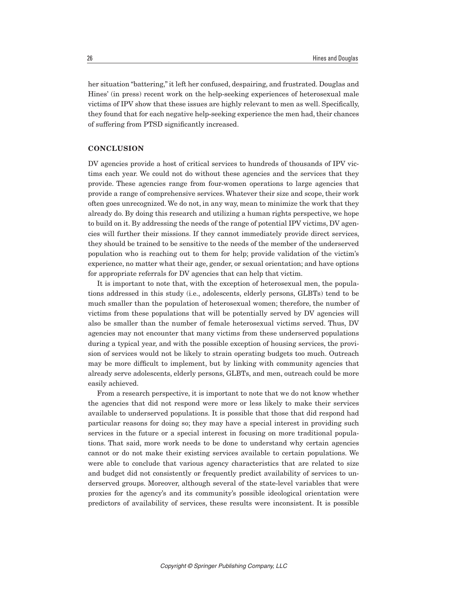her situation "battering," it left her confused, despairing, and frustrated. Douglas and Hines' (in press) recent work on the help-seeking experiences of heterosexual male victims of IPV show that these issues are highly relevant to men as well. Specifically, they found that for each negative help-seeking experience the men had, their chances of suffering from PTSD significantly increased.

#### **CONCLUSION**

DV agencies provide a host of critical services to hundreds of thousands of IPV victims each year. We could not do without these agencies and the services that they provide. These agencies range from four-women operations to large agencies that provide a range of comprehensive services. Whatever their size and scope, their work often goes unrecognized. We do not, in any way, mean to minimize the work that they already do. By doing this research and utilizing a human rights perspective, we hope to build on it. By addressing the needs of the range of potential IPV victims, DV agencies will further their missions. If they cannot immediately provide direct services, they should be trained to be sensitive to the needs of the member of the underserved population who is reaching out to them for help; provide validation of the victim's experience, no matter what their age, gender, or sexual orientation; and have options for appropriate referrals for DV agencies that can help that victim.

It is important to note that, with the exception of heterosexual men, the populations addressed in this study (i.e., adolescents, elderly persons, GLBTs) tend to be much smaller than the population of heterosexual women; therefore, the number of victims from these populations that will be potentially served by DV agencies will also be smaller than the number of female heterosexual victims served. Thus, DV agencies may not encounter that many victims from these underserved populations during a typical year, and with the possible exception of housing services, the provision of services would not be likely to strain operating budgets too much. Outreach may be more difficult to implement, but by linking with community agencies that already serve adolescents, elderly persons, GLBTs, and men, outreach could be more easily achieved.

From a research perspective, it is important to note that we do not know whether the agencies that did not respond were more or less likely to make their services available to underserved populations. It is possible that those that did respond had particular reasons for doing so; they may have a special interest in providing such services in the future or a special interest in focusing on more traditional populations. That said, more work needs to be done to understand why certain agencies cannot or do not make their existing services available to certain populations. We were able to conclude that various agency characteristics that are related to size and budget did not consistently or frequently predict availability of services to underserved groups. Moreover, although several of the state-level variables that were proxies for the agency's and its community's possible ideological orientation were predictors of availability of services, these results were inconsistent. It is possible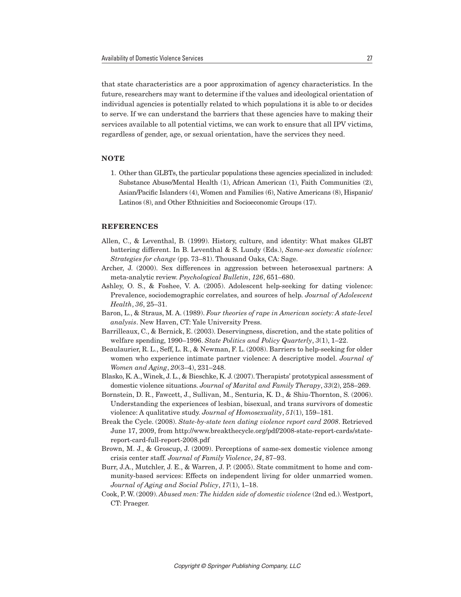that state characteristics are a poor approximation of agency characteristics. In the future, researchers may want to determine if the values and ideological orientation of individual agencies is potentially related to which populations it is able to or decides to serve. If we can understand the barriers that these agencies have to making their services available to all potential victims, we can work to ensure that all IPV victims, regardless of gender, age, or sexual orientation, have the services they need.

#### **Note**

1. Other than GLBTs, the particular populations these agencies specialized in included: Substance Abuse/Mental Health (1), African American (1), Faith Communities (2), Asian/Pacific Islanders (4), Women and Families (6), Native Americans (8), Hispanic/ Latinos (8), and Other Ethnicities and Socioeconomic Groups (17).

#### **REFERENCES**

- Allen, C., & Leventhal, B. (1999). History, culture, and identity: What makes GLBT battering different. In B. Leventhal & S. Lundy (Eds.), *Same-sex domestic violence: Strategies for change* (pp. 73–81). Thousand Oaks, CA: Sage.
- Archer, J. (2000). Sex differences in aggression between heterosexual partners: A meta-analytic review. *Psychological Bulletin*, *126*, 651–680.
- Ashley, O. S., & Foshee, V. A. (2005). Adolescent help-seeking for dating violence: Prevalence, sociodemographic correlates, and sources of help. *Journal of Adolescent Health*, *36*, 25–31.
- Baron, L., & Straus, M. A. (1989). *Four theories of rape in American society: A state-level analysis*. New Haven, CT: Yale University Press.
- Barrilleaux, C., & Bernick, E. (2003). Deservingness, discretion, and the state politics of welfare spending, 1990–1996. *State Politics and Policy Quarterly*, *3*(1), 1–22.
- Beaulaurier, R. L., Seff, L. R., & Newman, F. L. (2008). Barriers to help-seeking for older women who experience intimate partner violence: A descriptive model. *Journal of Women and Aging*, *20*(3–4), 231–248.
- Blasko, K. A., Winek, J. L., & Bieschke, K. J. (2007). Therapists' prototypical assessment of domestic violence situations. *Journal of Marital and Family Therapy*, *33*(2), 258–269.
- Bornstein, D. R., Fawcett, J., Sullivan, M., Senturia, K. D., & Shiu-Thornton, S. (2006). Understanding the experiences of lesbian, bisexual, and trans survivors of domestic violence: A qualitative study. *Journal of Homosexuality*, *51*(1), 159–181.
- Break the Cycle. (2008). *State-by-state teen dating violence report card 2008*. Retrieved June 17, 2009, from http://www.breakthecycle.org/pdf/2008-state-report-cards/statereport-card-full-report-2008.pdf
- Brown, M. J., & Groscup, J. (2009). Perceptions of same-sex domestic violence among crisis center staff. *Journal of Family Violence*, *24*, 87–93.
- Burr, J.A., Mutchler, J. E., & Warren, J. P. (2005). State commitment to home and community-based services: Effects on independent living for older unmarried women. *Journal of Aging and Social Policy*, *17*(1), 1–18.
- Cook, P. W. (2009). *Abused men: The hidden side of domestic violence* (2nd ed.). Westport, CT: Praeger.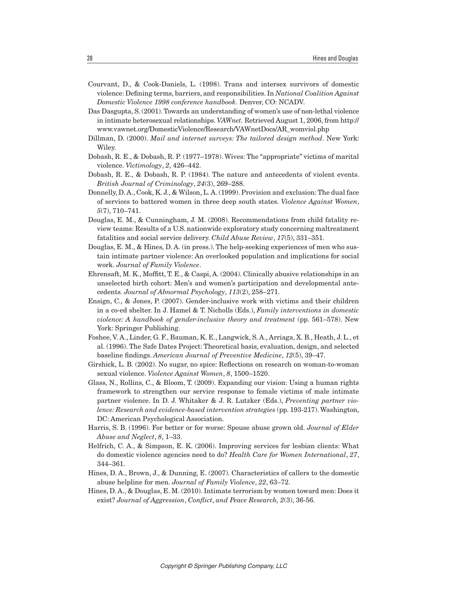- Courvant, D., & Cook-Daniels, L. (1998). Trans and intersex survivors of domestic violence: Defining terms, barriers, and responsibilities. In *National Coalition Against Domestic Violence 1998 conference handbook*. Denver, CO: NCADV.
- Das Dasgupta, S. (2001). Towards an understanding of women's use of non-lethal violence in intimate heterosexual relationships. *VAWnet.* Retrieved August 1, 2006, from http:// www.vawnet.org/DomesticViolence/Research/VAWnetDocs/AR\_womviol.php
- Dillman, D. (2000). *Mail and internet surveys: The tailored design method*. New York: Wiley.
- Dobash, R. E., & Dobash, R. P. (1977–1978). Wives: The "appropriate" victims of marital violence. *Victimology*, *2*, 426–442.
- Dobash, R. E., & Dobash, R. P. (1984). The nature and antecedents of violent events. *British Journal of Criminology*, *24*(3), 269–288.
- Donnelly, D. A., Cook, K. J., & Wilson, L. A. (1999). Provision and exclusion: The dual face of services to battered women in three deep south states. *Violence Against Women*, *5*(7), 710–741.
- Douglas, E. M., & Cunningham, J. M. (2008). Recommendations from child fatality review teams: Results of a U.S. nationwide exploratory study concerning maltreatment fatalities and social service delivery. *Child Abuse Review*, *17*(5), 331–351.
- Douglas, E. M., & Hines, D. A. (in press.). The help-seeking experiences of men who sustain intimate partner violence: An overlooked population and implications for social work. *Journal of Family Violence*.
- Ehrensaft, M. K., Moffitt, T. E., & Caspi, A. (2004). Clinically abusive relationships in an unselected birth cohort: Men's and women's participation and developmental antecedents. *Journal of Abnormal Psychology*, *113*(2), 258–271.
- Ensign, C., & Jones, P. (2007). Gender-inclusive work with victims and their children in a co-ed shelter. In J. Hamel & T. Nicholls (Eds.), *Family interventions in domestic violence: A handbook of gender-inclusive theory and treatment* (pp. 561–578). New York: Springer Publishing.
- Foshee, V. A., Linder, G. F., Bauman, K. E., Langwick, S. A., Arriaga, X. B., Heath, J. L., et al. (1996). The Safe Dates Project: Theoretical basis, evaluation, design, and selected baseline findings. *American Journal of Preventive Medicine*, *12*(5), 39–47.
- Girshick, L. B. (2002). No sugar, no spice: Reflections on research on woman-to-woman sexual violence. *Violence Against Women*, *8*, 1500–1520.
- Glass, N., Rollins, C., & Bloom, T. (2009). Expanding our vision: Using a human rights framework to strengthen our service response to female victims of male intimate partner violence. In D. J. Whitaker & J. R. Lutzker (Eds.), *Preventing partner violence: Research and evidence-based intervention strategies* (pp. 193-217). Washington, DC: American Psychological Association.
- Harris, S. B. (1996). For better or for worse: Spouse abuse grown old. *Journal of Elder Abuse and Neglect*, *8*, 1–33.
- Helfrich, C. A., & Simpson, E. K. (2006). Improving services for lesbian clients: What do domestic violence agencies need to do? *Health Care for Women International*, *27*, 344–361.
- Hines, D. A., Brown, J., & Dunning, E. (2007). Characteristics of callers to the domestic abuse helpline for men. *Journal of Family Violence*, *22*, 63–72.
- Hines, D. A., & Douglas, E. M. (2010). Intimate terrorism by women toward men: Does it exist? *Journal of Aggression*, *Conflict*, *and Peace Research, 2*(3), 36-56*.*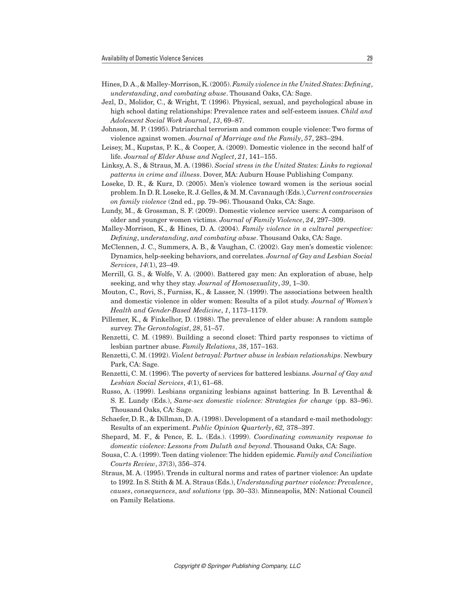- Hines, D. A., & Malley-Morrison, K. (2005). *Family violence in the United States: Defining*, *understanding*, *and combating abuse*. Thousand Oaks, CA: Sage.
- Jezl, D., Molidor, C., & Wright, T. (1996). Physical, sexual, and psychological abuse in high school dating relationships: Prevalence rates and self-esteem issues. *Child and Adolescent Social Work Journal*, *13*, 69–87.
- Johnson, M. P. (1995). Patriarchal terrorism and common couple violence: Two forms of violence against women. *Journal of Marriage and the Family*, *57*, 283–294.
- Leisey, M., Kupstas, P. K., & Cooper, A. (2009). Domestic violence in the second half of life. *Journal of Elder Abuse and Neglect*, *21*, 141–155.
- Linksy, A. S., & Straus, M. A. (1986). *Social stress in the United States: Links to regional patterns in crime and illness*. Dover, MA: Auburn House Publishing Company.
- Loseke, D. R., & Kurz, D. (2005). Men's violence toward women is the serious social problem. In D. R. Loseke, R. J. Gelles, & M. M. Cavanaugh (Eds.), *Current controversies on family violence* (2nd ed., pp. 79–96). Thousand Oaks, CA: Sage.
- Lundy, M., & Grossman, S. F. (2009). Domestic violence service users: A comparison of older and younger women victims. *Journal of Family Violence*, *24*, 297–309.
- Malley-Morrison, K., & Hines, D. A. (2004). *Family violence in a cultural perspective: Defining*, *understanding*, *and combating abuse*. Thousand Oaks, CA: Sage.
- McClennen, J. C., Summers, A. B., & Vaughan, C. (2002). Gay men's domestic violence: Dynamics, help-seeking behaviors, and correlates. *Journal of Gay and Lesbian Social Services*, *14*(1), 23–49.
- Merrill, G. S., & Wolfe, V. A. (2000). Battered gay men: An exploration of abuse, help seeking, and why they stay. *Journal of Homosexuality*, *39*, 1–30.
- Mouton, C., Rovi, S., Furniss, K., & Lasser, N. (1999). The associations between health and domestic violence in older women: Results of a pilot study. *Journal of Women's Health and Gender-Based Medicine*, *1*, 1173–1179.
- Pillemer, K., & Finkelhor, D. (1988). The prevalence of elder abuse: A random sample survey. *The Gerontologist*, *28*, 51–57.
- Renzetti, C. M. (1989). Building a second closet: Third party responses to victims of lesbian partner abuse. *Family Relations*, *38*, 157–163.
- Renzetti, C. M. (1992). *Violent betrayal: Partner abuse in lesbian relationships*. Newbury Park, CA: Sage.
- Renzetti, C. M. (1996). The poverty of services for battered lesbians. *Journal of Gay and Lesbian Social Services*, *4*(1), 61–68.
- Russo, A. (1999). Lesbians organizing lesbians against battering. In B. Leventhal & S. E. Lundy (Eds.), *Same-sex domestic violence: Strategies for change* (pp. 83–96). Thousand Oaks, CA: Sage.
- Schaefer, D. R., & Dillman, D. A. (1998). Development of a standard e-mail methodology: Results of an experiment. *Public Opinion Quarterly*, *62,* 378–397.
- Shepard, M. F., & Pence, E. L. (Eds.). (1999). *Coordinating community response to domestic violence: Lessons from Duluth and beyond*. Thousand Oaks, CA: Sage.
- Sousa, C. A. (1999). Teen dating violence: The hidden epidemic. *Family and Conciliation Courts Review*, *37*(3), 356–374.
- Straus, M. A. (1995). Trends in cultural norms and rates of partner violence: An update to 1992. In S. Stith & M. A. Straus (Eds.), *Understanding partner violence: Prevalence*, *causes*, *consequences*, a*nd solutions* (pp. 30–33). Minneapolis, MN: National Council on Family Relations.